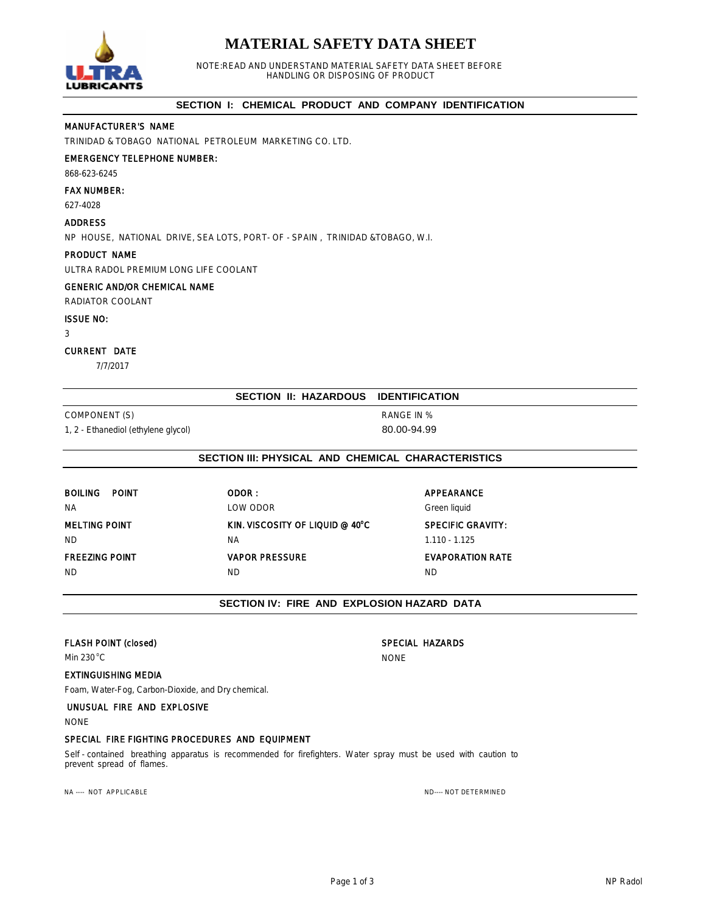# **MATERIAL SAFETY DATA SHEET**



NOTE:READ AND UNDERSTAND MATERIAL SAFETY DATA SHEET BEFORE HANDLING OR DISPOSING OF PRODUCT

## **SECTION I: CHEMICAL PRODUCT AND COMPANY IDENTIFICATION**

# MANUFACTURER'S NAME

TRINIDAD & TOBAGO NATIONAL PETROLEUM MARKETING CO. LTD.

# EMERGENCY TELEPHONE NUMBER:

868-623-6245

#### FAX NUMBER:

627-4028

#### ADDRESS

NP HOUSE, NATIONAL DRIVE, SEA LOTS, PORT- OF - SPAIN , TRINIDAD &TOBAGO, W.I.

# PRODUCT NAME

ULTRA RADOL PREMIUM LONG LIFE COOLANT

# GENERIC AND/OR CHEMICAL NAME

RADIATOR COOLANT

## ISSUE NO:

3

#### CURRENT DATE

7/7/2017

# **SECTION II: HAZARDOUS IDENTIFICATION**

COMPONENT (S) RANGE IN % 1, 2 - Ethanediol (ethylene glycol) 80.00-94.99

# **SECTION III: PHYSICAL AND CHEMICAL CHARACTERISTICS**

| <b>BOILING</b><br>POINT<br><b>NA</b> | ODOR:<br><b>LOW ODOR</b>        | AP<br>$G$ re |
|--------------------------------------|---------------------------------|--------------|
| <b>MELTING POINT</b>                 | KIN. VISCOSITY OF LIQUID @ 40°C | <b>SP</b>    |
| ND.                                  | <b>NA</b>                       | 1.1          |
| <b>FREEZING POINT</b>                | <b>VAPOR PRESSURE</b>           | EV.          |
| ND.                                  | ND                              | ND           |

# **APPEARANCE** Green liquid

<sup>P</sup>C
BELIFIC GRAVITY:  $1.110 - 1.125$ 

# **EVAPORATION RATE**

# **SECTION IV: FIRE AND EXPLOSION HAZARD DATA**

# FLASH POINT (closed) SPECIAL HAZARDS

Min 230<sup>o</sup>C NONE

# EXTINGUISHING MEDIA

Foam, Water-Fog, Carbon-Dioxide, and Dry chemical.

# UNUSUAL FIRE AND EXPLOSIVE

NONE

# SPECIAL FIRE FIGHTING PROCEDURES AND EQUIPMENT

Self - contained breathing apparatus is recommended for firefighters. Water spray must be used with caution to prevent spread of flames.

NA ---- NOT APPLICABLE ND--- NOT DETERMINED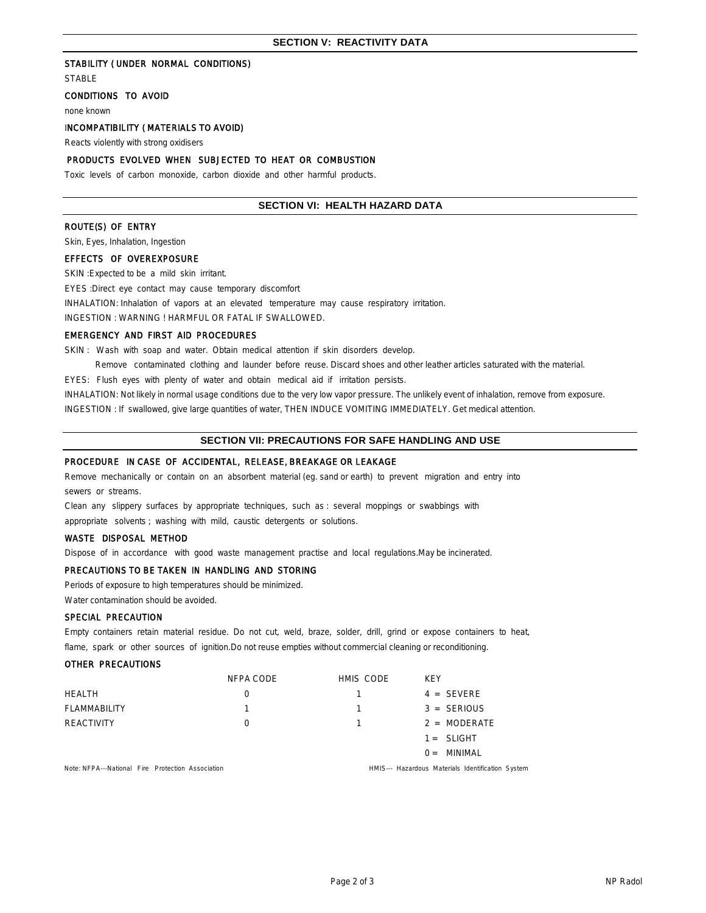#### STABILITY ( UNDER NORMAL CONDITIONS)

**STABLE** 

# CONDITIONS TO AVOID

none known

## INCOMPATIBILITY ( MATERIALS TO AVOID)

Reacts violently with strong oxidisers

# PRODUCTS EVOLVED WHEN SUBJECTED TO HEAT OR COMBUSTION

Toxic levels of carbon monoxide, carbon dioxide and other harmful products.

## **SECTION VI: HEALTH HAZARD DATA**

# ROUTE(S) OF ENTRY

Skin, Eyes, Inhalation, Ingestion

# EFFECTS OF OVEREXPOSURE

SKIN: Expected to be a mild skin irritant.

EYES :Direct eye contact may cause temporary discomfort

INHALATION: Inhalation of vapors at an elevated temperature may cause respiratory irritation.

INGESTION : WARNING ! HARMFUL OR FATAL IF SWALLOWED.

# EMERGENCY AND FIRST AID PROCEDURES

SKIN: Wash with soap and water. Obtain medical attention if skin disorders develop.

Remove contaminated clothing and launder before reuse. Discard shoes and other leather articles saturated with the material.

EYES: Flush eyes with plenty of water and obtain medical aid if irritation persists.

INHALATION: Not likely in normal usage conditions due to the very low vapor pressure. The unlikely event of inhalation, remove from exposure.

INGESTION : If swallowed, give large quantities of water, THEN INDUCE VOMITING IMMEDIATELY. Get medical attention.

#### **SECTION VII: PRECAUTIONS FOR SAFE HANDLING AND USE**

#### PROCEDURE IN CASE OF ACCIDENTAL, RELEASE, BREAKAGE OR LEAKAGE

Remove mechanically or contain on an absorbent material (eg. sand or earth) to prevent migration and entry into sewers or streams.

Clean any slippery surfaces by appropriate techniques, such as : several moppings or swabbings with appropriate solvents ; washing with mild, caustic detergents or solutions.

#### WASTE DISPOSAL METHOD

Dispose of in accordance with good waste management practise and local regulations.May be incinerated.

# PRECAUTIONS TO BE TAKEN IN HANDLING AND STORING

Periods of exposure to high temperatures should be minimized.

Water contamination should be avoided.

## SPECIAL PRECAUTION

Empty containers retain material residue. Do not cut, weld, braze, solder, drill, grind or expose containers to heat, flame, spark or other sources of ignition.Do not reuse empties without commercial cleaning or reconditioning.

#### OTHER PRECAUTIONS

|                                                   | NFPA CODE        | HMIS CODE | <b>KFY</b>                                        |
|---------------------------------------------------|------------------|-----------|---------------------------------------------------|
| <b>HEALTH</b>                                     |                  |           | $4 = SEVERE$                                      |
| FLAMMABILITY                                      |                  |           | $3 = SERIOUS$                                     |
| <b>REACTIVITY</b>                                 | $\left( \right)$ |           | $2 = \text{MODERATE}$                             |
|                                                   |                  |           | $1 = SLIGHT$                                      |
|                                                   |                  |           | $0 =$ MINIMAL                                     |
| Note: NFPA---National Fire Protection Association |                  |           | HMIS--- Hazardous Materials Identification System |